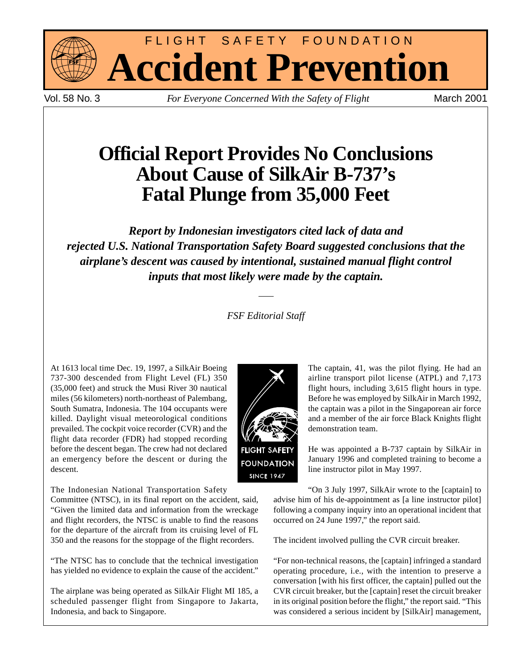

FLIGHT SAFETY FOUNDATION **Accident Prevention**

Vol. 58 No. 3 *For Everyone Concerned With the Safety of Flight* March 2001

# **Official Report Provides No Conclusions About Cause of SilkAir B-737's Fatal Plunge from 35,000 Feet**

*Report by Indonesian investigators cited lack of data and rejected U.S. National Transportation Safety Board suggested conclusions that the airplane's descent was caused by intentional, sustained manual flight control inputs that most likely were made by the captain.*

*FSF Editorial Staff*

At 1613 local time Dec. 19, 1997, a SilkAir Boeing 737-300 descended from Flight Level (FL) 350 (35,000 feet) and struck the Musi River 30 nautical miles (56 kilometers) north-northeast of Palembang, South Sumatra, Indonesia. The 104 occupants were killed. Daylight visual meteorological conditions prevailed. The cockpit voice recorder (CVR) and the flight data recorder (FDR) had stopped recording before the descent began. The crew had not declared an emergency before the descent or during the descent.

The Indonesian National Transportation Safety

Committee (NTSC), in its final report on the accident, said, "Given the limited data and information from the wreckage and flight recorders, the NTSC is unable to find the reasons for the departure of the aircraft from its cruising level of FL 350 and the reasons for the stoppage of the flight recorders.

"The NTSC has to conclude that the technical investigation has yielded no evidence to explain the cause of the accident."

The airplane was being operated as SilkAir Flight MI 185, a scheduled passenger flight from Singapore to Jakarta, Indonesia, and back to Singapore.



The captain, 41, was the pilot flying. He had an airline transport pilot license (ATPL) and 7,173 flight hours, including 3,615 flight hours in type. Before he was employed by SilkAir in March 1992, the captain was a pilot in the Singaporean air force and a member of the air force Black Knights flight demonstration team.

He was appointed a B-737 captain by SilkAir in January 1996 and completed training to become a line instructor pilot in May 1997.

"On 3 July 1997, SilkAir wrote to the [captain] to advise him of his de-appointment as [a line instructor pilot] following a company inquiry into an operational incident that occurred on 24 June 1997," the report said.

The incident involved pulling the CVR circuit breaker.

"For non-technical reasons, the [captain] infringed a standard operating procedure, i.e., with the intention to preserve a conversation [with his first officer, the captain] pulled out the CVR circuit breaker, but the [captain] reset the circuit breaker in its original position before the flight," the report said. "This was considered a serious incident by [SilkAir] management,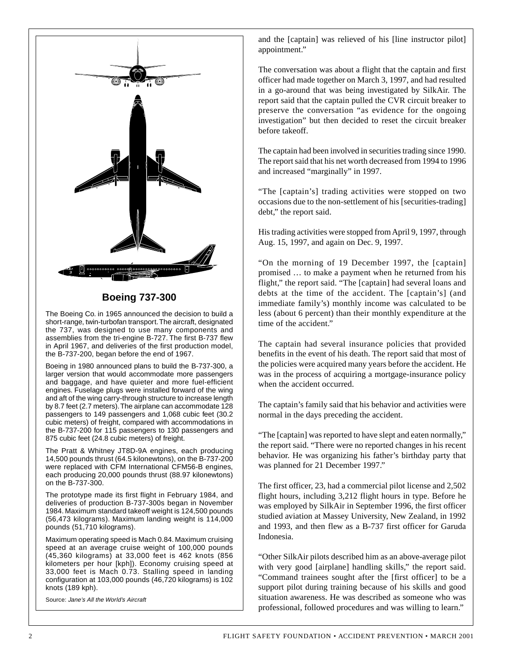

**Boeing 737-300**

The Boeing Co. in 1965 announced the decision to build a short-range, twin-turbofan transport. The aircraft, designated the 737, was designed to use many components and assemblies from the tri-engine B-727. The first B-737 flew in April 1967, and deliveries of the first production model, the B-737-200, began before the end of 1967.

Boeing in 1980 announced plans to build the B-737-300, a larger version that would accommodate more passengers and baggage, and have quieter and more fuel-efficient engines. Fuselage plugs were installed forward of the wing and aft of the wing carry-through structure to increase length by 8.7 feet (2.7 meters). The airplane can accommodate 128 passengers to 149 passengers and 1,068 cubic feet (30.2 cubic meters) of freight, compared with accommodations in the B-737-200 for 115 passengers to 130 passengers and 875 cubic feet (24.8 cubic meters) of freight.

The Pratt & Whitney JT8D-9A engines, each producing 14,500 pounds thrust (64.5 kilonewtons), on the B-737-200 were replaced with CFM International CFM56-B engines, each producing 20,000 pounds thrust (88.97 kilonewtons) on the B-737-300.

The prototype made its first flight in February 1984, and deliveries of production B-737-300s began in November 1984. Maximum standard takeoff weight is 124,500 pounds (56,473 kilograms). Maximum landing weight is 114,000 pounds (51,710 kilograms).

Maximum operating speed is Mach 0.84. Maximum cruising speed at an average cruise weight of 100,000 pounds (45,360 kilograms) at 33,000 feet is 462 knots (856 kilometers per hour [kph]). Economy cruising speed at 33,000 feet is Mach 0.73. Stalling speed in landing configuration at 103,000 pounds (46,720 kilograms) is 102 knots (189 kph).

Source: Jane's All the World's Aircraft

and the [captain] was relieved of his [line instructor pilot] appointment."

The conversation was about a flight that the captain and first officer had made together on March 3, 1997, and had resulted in a go-around that was being investigated by SilkAir. The report said that the captain pulled the CVR circuit breaker to preserve the conversation "as evidence for the ongoing investigation" but then decided to reset the circuit breaker before takeoff.

The captain had been involved in securities trading since 1990. The report said that his net worth decreased from 1994 to 1996 and increased "marginally" in 1997.

"The [captain's] trading activities were stopped on two occasions due to the non-settlement of his [securities-trading] debt," the report said.

His trading activities were stopped from April 9, 1997, through Aug. 15, 1997, and again on Dec. 9, 1997.

"On the morning of 19 December 1997, the [captain] promised … to make a payment when he returned from his flight," the report said. "The [captain] had several loans and debts at the time of the accident. The [captain's] (and immediate family's) monthly income was calculated to be less (about 6 percent) than their monthly expenditure at the time of the accident."

The captain had several insurance policies that provided benefits in the event of his death. The report said that most of the policies were acquired many years before the accident. He was in the process of acquiring a mortgage-insurance policy when the accident occurred.

The captain's family said that his behavior and activities were normal in the days preceding the accident.

"The [captain] was reported to have slept and eaten normally," the report said. "There were no reported changes in his recent behavior. He was organizing his father's birthday party that was planned for 21 December 1997."

The first officer, 23, had a commercial pilot license and 2,502 flight hours, including 3,212 flight hours in type. Before he was employed by SilkAir in September 1996, the first officer studied aviation at Massey University, New Zealand, in 1992 and 1993, and then flew as a B-737 first officer for Garuda Indonesia.

"Other SilkAir pilots described him as an above-average pilot with very good [airplane] handling skills," the report said. "Command trainees sought after the [first officer] to be a support pilot during training because of his skills and good situation awareness. He was described as someone who was professional, followed procedures and was willing to learn."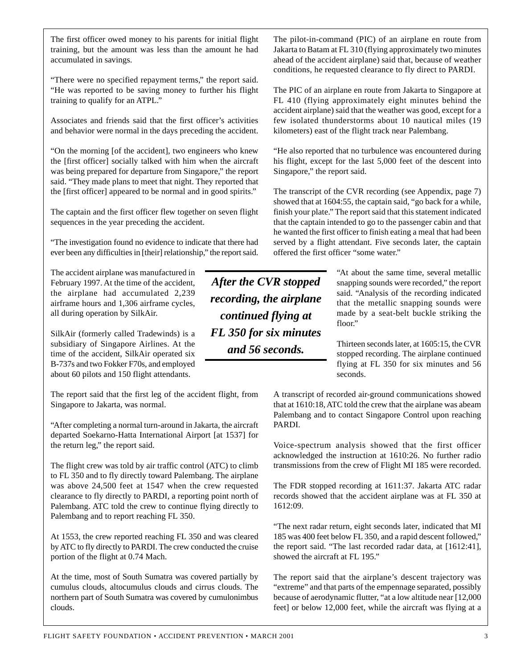The first officer owed money to his parents for initial flight training, but the amount was less than the amount he had accumulated in savings.

"There were no specified repayment terms," the report said. "He was reported to be saving money to further his flight training to qualify for an ATPL."

Associates and friends said that the first officer's activities and behavior were normal in the days preceding the accident.

"On the morning [of the accident], two engineers who knew the [first officer] socially talked with him when the aircraft was being prepared for departure from Singapore," the report said. "They made plans to meet that night. They reported that the [first officer] appeared to be normal and in good spirits."

The captain and the first officer flew together on seven flight sequences in the year preceding the accident.

"The investigation found no evidence to indicate that there had ever been any difficulties in [their] relationship," the report said.

The accident airplane was manufactured in February 1997. At the time of the accident, the airplane had accumulated 2,239 airframe hours and 1,306 airframe cycles, all during operation by SilkAir.

SilkAir (formerly called Tradewinds) is a subsidiary of Singapore Airlines. At the time of the accident, SilkAir operated six B-737s and two Fokker F70s, and employed about 60 pilots and 150 flight attendants.

The report said that the first leg of the accident flight, from Singapore to Jakarta, was normal.

"After completing a normal turn-around in Jakarta, the aircraft departed Soekarno-Hatta International Airport [at 1537] for the return leg," the report said.

The flight crew was told by air traffic control (ATC) to climb to FL 350 and to fly directly toward Palembang. The airplane was above 24,500 feet at 1547 when the crew requested clearance to fly directly to PARDI, a reporting point north of Palembang. ATC told the crew to continue flying directly to Palembang and to report reaching FL 350.

At 1553, the crew reported reaching FL 350 and was cleared by ATC to fly directly to PARDI. The crew conducted the cruise portion of the flight at 0.74 Mach.

At the time, most of South Sumatra was covered partially by cumulus clouds, altocumulus clouds and cirrus clouds. The northern part of South Sumatra was covered by cumulonimbus clouds.

*After the CVR stopped recording, the airplane continued flying at FL 350 for six minutes and 56 seconds.*

The pilot-in-command (PIC) of an airplane en route from Jakarta to Batam at FL 310 (flying approximately two minutes ahead of the accident airplane) said that, because of weather conditions, he requested clearance to fly direct to PARDI.

The PIC of an airplane en route from Jakarta to Singapore at FL 410 (flying approximately eight minutes behind the accident airplane) said that the weather was good, except for a few isolated thunderstorms about 10 nautical miles (19 kilometers) east of the flight track near Palembang.

"He also reported that no turbulence was encountered during his flight, except for the last 5,000 feet of the descent into Singapore," the report said.

The transcript of the CVR recording (see Appendix, page 7) showed that at 1604:55, the captain said, "go back for a while, finish your plate." The report said that this statement indicated that the captain intended to go to the passenger cabin and that he wanted the first officer to finish eating a meal that had been served by a flight attendant. Five seconds later, the captain offered the first officer "some water."

> "At about the same time, several metallic snapping sounds were recorded," the report said. "Analysis of the recording indicated that the metallic snapping sounds were made by a seat-belt buckle striking the floor."

Thirteen seconds later, at 1605:15, the CVR stopped recording. The airplane continued flying at FL 350 for six minutes and 56 seconds.

A transcript of recorded air-ground communications showed that at 1610:18, ATC told the crew that the airplane was abeam Palembang and to contact Singapore Control upon reaching PARDI.

Voice-spectrum analysis showed that the first officer acknowledged the instruction at 1610:26. No further radio transmissions from the crew of Flight MI 185 were recorded.

The FDR stopped recording at 1611:37. Jakarta ATC radar records showed that the accident airplane was at FL 350 at 1612:09.

"The next radar return, eight seconds later, indicated that MI 185 was 400 feet below FL 350, and a rapid descent followed," the report said. "The last recorded radar data, at [1612:41], showed the aircraft at FL 195."

The report said that the airplane's descent trajectory was "extreme" and that parts of the empennage separated, possibly because of aerodynamic flutter, "at a low altitude near [12,000 feet] or below 12,000 feet, while the aircraft was flying at a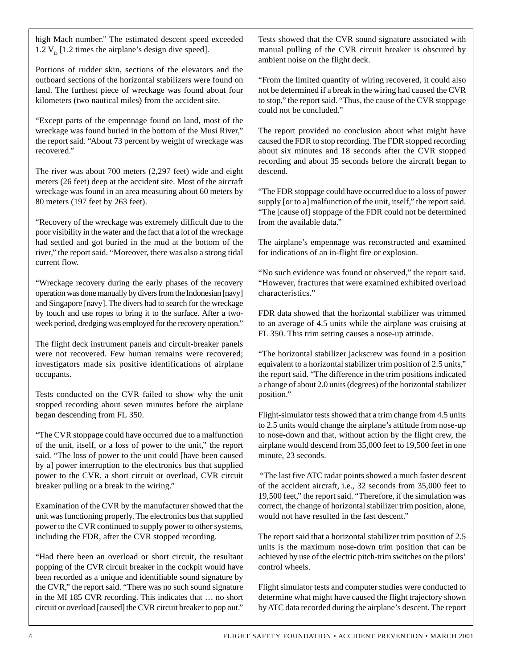high Mach number." The estimated descent speed exceeded 1.2  $V_p$  [1.2 times the airplane's design dive speed].

Portions of rudder skin, sections of the elevators and the outboard sections of the horizontal stabilizers were found on land. The furthest piece of wreckage was found about four kilometers (two nautical miles) from the accident site.

"Except parts of the empennage found on land, most of the wreckage was found buried in the bottom of the Musi River," the report said. "About 73 percent by weight of wreckage was recovered."

The river was about 700 meters (2,297 feet) wide and eight meters (26 feet) deep at the accident site. Most of the aircraft wreckage was found in an area measuring about 60 meters by 80 meters (197 feet by 263 feet).

"Recovery of the wreckage was extremely difficult due to the poor visibility in the water and the fact that a lot of the wreckage had settled and got buried in the mud at the bottom of the river," the report said. "Moreover, there was also a strong tidal current flow.

"Wreckage recovery during the early phases of the recovery operation was done manually by divers from the Indonesian [navy] and Singapore [navy]. The divers had to search for the wreckage by touch and use ropes to bring it to the surface. After a twoweek period, dredging was employed for the recovery operation."

The flight deck instrument panels and circuit-breaker panels were not recovered. Few human remains were recovered; investigators made six positive identifications of airplane occupants.

Tests conducted on the CVR failed to show why the unit stopped recording about seven minutes before the airplane began descending from FL 350.

"The CVR stoppage could have occurred due to a malfunction of the unit, itself, or a loss of power to the unit," the report said. "The loss of power to the unit could [have been caused by a] power interruption to the electronics bus that supplied power to the CVR, a short circuit or overload, CVR circuit breaker pulling or a break in the wiring."

Examination of the CVR by the manufacturer showed that the unit was functioning properly. The electronics bus that supplied power to the CVR continued to supply power to other systems, including the FDR, after the CVR stopped recording.

"Had there been an overload or short circuit, the resultant popping of the CVR circuit breaker in the cockpit would have been recorded as a unique and identifiable sound signature by the CVR," the report said. "There was no such sound signature in the MI 185 CVR recording. This indicates that … no short circuit or overload [caused] the CVR circuit breaker to pop out." Tests showed that the CVR sound signature associated with manual pulling of the CVR circuit breaker is obscured by ambient noise on the flight deck.

"From the limited quantity of wiring recovered, it could also not be determined if a break in the wiring had caused the CVR to stop," the report said. "Thus, the cause of the CVR stoppage could not be concluded."

The report provided no conclusion about what might have caused the FDR to stop recording. The FDR stopped recording about six minutes and 18 seconds after the CVR stopped recording and about 35 seconds before the aircraft began to descend.

"The FDR stoppage could have occurred due to a loss of power supply [or to a] malfunction of the unit, itself," the report said. "The [cause of] stoppage of the FDR could not be determined from the available data."

The airplane's empennage was reconstructed and examined for indications of an in-flight fire or explosion.

"No such evidence was found or observed," the report said. "However, fractures that were examined exhibited overload characteristics."

FDR data showed that the horizontal stabilizer was trimmed to an average of 4.5 units while the airplane was cruising at FL 350. This trim setting causes a nose-up attitude.

"The horizontal stabilizer jackscrew was found in a position equivalent to a horizontal stabilizer trim position of 2.5 units," the report said. "The difference in the trim positions indicated a change of about 2.0 units (degrees) of the horizontal stabilizer position."

Flight-simulator tests showed that a trim change from 4.5 units to 2.5 units would change the airplane's attitude from nose-up to nose-down and that, without action by the flight crew, the airplane would descend from 35,000 feet to 19,500 feet in one minute, 23 seconds.

 "The last five ATC radar points showed a much faster descent of the accident aircraft, i.e., 32 seconds from 35,000 feet to 19,500 feet," the report said. "Therefore, if the simulation was correct, the change of horizontal stabilizer trim position, alone, would not have resulted in the fast descent."

The report said that a horizontal stabilizer trim position of 2.5 units is the maximum nose-down trim position that can be achieved by use of the electric pitch-trim switches on the pilots' control wheels.

Flight simulator tests and computer studies were conducted to determine what might have caused the flight trajectory shown by ATC data recorded during the airplane's descent. The report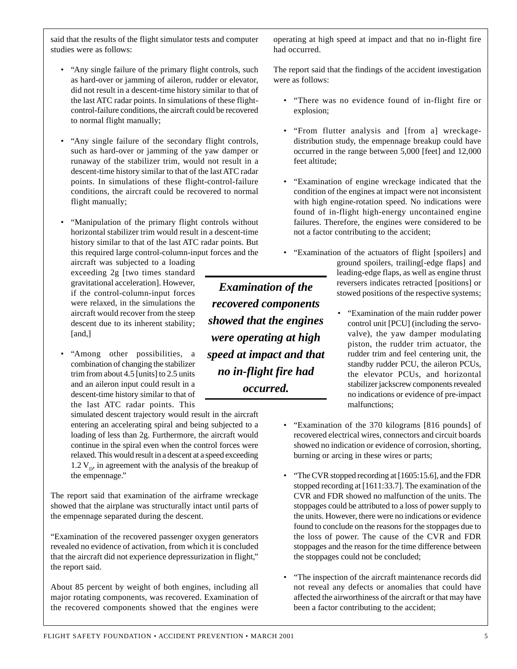said that the results of the flight simulator tests and computer studies were as follows:

- "Any single failure of the primary flight controls, such as hard-over or jamming of aileron, rudder or elevator, did not result in a descent-time history similar to that of the last ATC radar points. In simulations of these flightcontrol-failure conditions, the aircraft could be recovered to normal flight manually;
- "Any single failure of the secondary flight controls, such as hard-over or jamming of the yaw damper or runaway of the stabilizer trim, would not result in a descent-time history similar to that of the last ATC radar points. In simulations of these flight-control-failure conditions, the aircraft could be recovered to normal flight manually;
- "Manipulation of the primary flight controls without horizontal stabilizer trim would result in a descent-time history similar to that of the last ATC radar points. But this required large control-column-input forces and the

aircraft was subjected to a loading exceeding 2g [two times standard gravitational acceleration]. However, if the control-column-input forces were relaxed, in the simulations the aircraft would recover from the steep descent due to its inherent stability; [and,]

• "Among other possibilities, a combination of changing the stabilizer trim from about 4.5 [units] to 2.5 units and an aileron input could result in a descent-time history similar to that of the last ATC radar points. This

simulated descent trajectory would result in the aircraft entering an accelerating spiral and being subjected to a loading of less than 2g. Furthermore, the aircraft would continue in the spiral even when the control forces were relaxed. This would result in a descent at a speed exceeding 1.2  $V_p$ , in agreement with the analysis of the breakup of the empennage."

The report said that examination of the airframe wreckage showed that the airplane was structurally intact until parts of the empennage separated during the descent.

"Examination of the recovered passenger oxygen generators revealed no evidence of activation, from which it is concluded that the aircraft did not experience depressurization in flight," the report said.

About 85 percent by weight of both engines, including all major rotating components, was recovered. Examination of the recovered components showed that the engines were operating at high speed at impact and that no in-flight fire had occurred.

The report said that the findings of the accident investigation were as follows:

- "There was no evidence found of in-flight fire or explosion;
- "From flutter analysis and [from a] wreckagedistribution study, the empennage breakup could have occurred in the range between 5,000 [feet] and 12,000 feet altitude;
- "Examination of engine wreckage indicated that the condition of the engines at impact were not inconsistent with high engine-rotation speed. No indications were found of in-flight high-energy uncontained engine failures. Therefore, the engines were considered to be not a factor contributing to the accident;
- "Examination of the actuators of flight [spoilers] and ground spoilers, trailing[-edge flaps] and leading-edge flaps, as well as engine thrust reversers indicates retracted [positions] or stowed positions of the respective systems; *Examination of the*
	- "Examination of the main rudder power control unit [PCU] (including the servovalve), the yaw damper modulating piston, the rudder trim actuator, the rudder trim and feel centering unit, the standby rudder PCU, the aileron PCUs, the elevator PCUs, and horizontal stabilizer jackscrew components revealed no indications or evidence of pre-impact malfunctions;
	- "Examination of the 370 kilograms [816 pounds] of recovered electrical wires, connectors and circuit boards showed no indication or evidence of corrosion, shorting, burning or arcing in these wires or parts;
	- "The CVR stopped recording at [1605:15.6], and the FDR stopped recording at [1611:33.7]. The examination of the CVR and FDR showed no malfunction of the units. The stoppages could be attributed to a loss of power supply to the units. However, there were no indications or evidence found to conclude on the reasons for the stoppages due to the loss of power. The cause of the CVR and FDR stoppages and the reason for the time difference between the stoppages could not be concluded;
	- "The inspection of the aircraft maintenance records did not reveal any defects or anomalies that could have affected the airworthiness of the aircraft or that may have been a factor contributing to the accident;

*recovered components showed that the engines were operating at high speed at impact and that no in-flight fire had occurred.*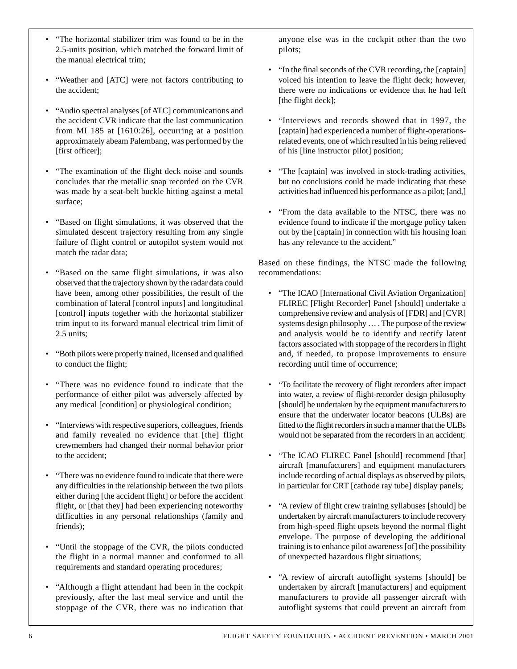- "The horizontal stabilizer trim was found to be in the 2.5-units position, which matched the forward limit of the manual electrical trim;
- "Weather and [ATC] were not factors contributing to the accident;
- "Audio spectral analyses [of ATC] communications and the accident CVR indicate that the last communication from MI 185 at [1610:26], occurring at a position approximately abeam Palembang, was performed by the [first officer];
- "The examination of the flight deck noise and sounds concludes that the metallic snap recorded on the CVR was made by a seat-belt buckle hitting against a metal surface;
- "Based on flight simulations, it was observed that the simulated descent trajectory resulting from any single failure of flight control or autopilot system would not match the radar data;
- "Based on the same flight simulations, it was also observed that the trajectory shown by the radar data could have been, among other possibilities, the result of the combination of lateral [control inputs] and longitudinal [control] inputs together with the horizontal stabilizer trim input to its forward manual electrical trim limit of 2.5 units;
- "Both pilots were properly trained, licensed and qualified to conduct the flight;
- "There was no evidence found to indicate that the performance of either pilot was adversely affected by any medical [condition] or physiological condition;
- "Interviews with respective superiors, colleagues, friends and family revealed no evidence that [the] flight crewmembers had changed their normal behavior prior to the accident;
- "There was no evidence found to indicate that there were any difficulties in the relationship between the two pilots either during [the accident flight] or before the accident flight, or [that they] had been experiencing noteworthy difficulties in any personal relationships (family and friends);
- "Until the stoppage of the CVR, the pilots conducted the flight in a normal manner and conformed to all requirements and standard operating procedures;
- "Although a flight attendant had been in the cockpit previously, after the last meal service and until the stoppage of the CVR, there was no indication that

anyone else was in the cockpit other than the two pilots;

- "In the final seconds of the CVR recording, the [captain] voiced his intention to leave the flight deck; however, there were no indications or evidence that he had left [the flight deck];
- "Interviews and records showed that in 1997, the [captain] had experienced a number of flight-operationsrelated events, one of which resulted in his being relieved of his [line instructor pilot] position;
- "The [captain] was involved in stock-trading activities, but no conclusions could be made indicating that these activities had influenced his performance as a pilot; [and,]
- "From the data available to the NTSC, there was no evidence found to indicate if the mortgage policy taken out by the [captain] in connection with his housing loan has any relevance to the accident."

Based on these findings, the NTSC made the following recommendations:

- "The ICAO [International Civil Aviation Organization] FLIREC [Flight Recorder] Panel [should] undertake a comprehensive review and analysis of [FDR] and [CVR] systems design philosophy … . The purpose of the review and analysis would be to identify and rectify latent factors associated with stoppage of the recorders in flight and, if needed, to propose improvements to ensure recording until time of occurrence;
- "To facilitate the recovery of flight recorders after impact into water, a review of flight-recorder design philosophy [should] be undertaken by the equipment manufacturers to ensure that the underwater locator beacons (ULBs) are fitted to the flight recorders in such a manner that the ULBs would not be separated from the recorders in an accident;
- "The ICAO FLIREC Panel [should] recommend [that] aircraft [manufacturers] and equipment manufacturers include recording of actual displays as observed by pilots, in particular for CRT [cathode ray tube] display panels;
- "A review of flight crew training syllabuses [should] be undertaken by aircraft manufacturers to include recovery from high-speed flight upsets beyond the normal flight envelope. The purpose of developing the additional training is to enhance pilot awareness [of] the possibility of unexpected hazardous flight situations;
- "A review of aircraft autoflight systems [should] be undertaken by aircraft [manufacturers] and equipment manufacturers to provide all passenger aircraft with autoflight systems that could prevent an aircraft from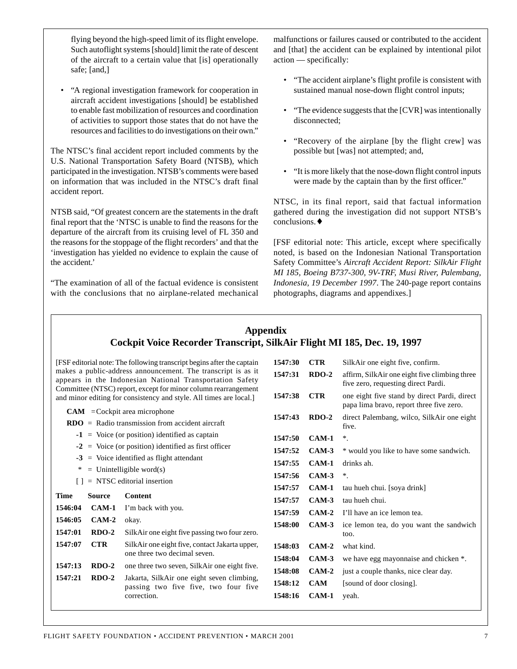flying beyond the high-speed limit of its flight envelope. Such autoflight systems [should] limit the rate of descent of the aircraft to a certain value that [is] operationally safe; [and,]

• "A regional investigation framework for cooperation in aircraft accident investigations [should] be established to enable fast mobilization of resources and coordination of activities to support those states that do not have the resources and facilities to do investigations on their own."

The NTSC's final accident report included comments by the U.S. National Transportation Safety Board (NTSB), which participated in the investigation. NTSB's comments were based on information that was included in the NTSC's draft final accident report.

NTSB said, "Of greatest concern are the statements in the draft final report that the 'NTSC is unable to find the reasons for the departure of the aircraft from its cruising level of FL 350 and the reasons for the stoppage of the flight recorders' and that the 'investigation has yielded no evidence to explain the cause of the accident.'

"The examination of all of the factual evidence is consistent with the conclusions that no airplane-related mechanical malfunctions or failures caused or contributed to the accident and [that] the accident can be explained by intentional pilot action — specifically:

- "The accident airplane's flight profile is consistent with sustained manual nose-down flight control inputs;
- "The evidence suggests that the [CVR] was intentionally disconnected;
- "Recovery of the airplane [by the flight crew] was possible but [was] not attempted; and,
- "It is more likely that the nose-down flight control inputs were made by the captain than by the first officer."

NTSC, in its final report, said that factual information gathered during the investigation did not support NTSB's conclusions.♦

[FSF editorial note: This article, except where specifically noted, is based on the Indonesian National Transportation Safety Committee's *Aircraft Accident Report: SilkAir Flight MI 185, Boeing B737-300, 9V-TRF, Musi River, Palembang, Indonesia, 19 December 1997*. The 240-page report contains photographs, diagrams and appendixes.]

# **Appendix Cockpit Voice Recorder Transcript, SilkAir Flight MI 185, Dec. 19, 1997**

|                                                                                                                                      |               | [FSF editorial note: The following transcript begins after the captain                                                   | 1547:30 | <b>CTR</b> | SilkAir one eight five, confirm.                                                         |
|--------------------------------------------------------------------------------------------------------------------------------------|---------------|--------------------------------------------------------------------------------------------------------------------------|---------|------------|------------------------------------------------------------------------------------------|
|                                                                                                                                      |               | makes a public-address announcement. The transcript is as it<br>appears in the Indonesian National Transportation Safety | 1547:31 | $RDO-2$    | affirm, SilkAir one eight five climbing three<br>five zero, requesting direct Pardi.     |
| Committee (NTSC) report, except for minor column rearrangement<br>and minor editing for consistency and style. All times are local.] |               |                                                                                                                          | 1547:38 | <b>CTR</b> | one eight five stand by direct Pardi, direct<br>papa lima bravo, report three five zero. |
| $CAM = Cockpit$ area microphone                                                                                                      |               |                                                                                                                          | 1547:43 | $RDO-2$    | direct Palembang, wilco, SilkAir one eight                                               |
| $RDO = Radio transmission from accident aircraft$                                                                                    |               |                                                                                                                          |         |            | five.                                                                                    |
| $\mathbf{-1}$ = Voice (or position) identified as captain                                                                            |               |                                                                                                                          | 1547:50 | $CAM-1$    | $^\ast$ .                                                                                |
| $=$ Voice (or position) identified as first officer<br>$-2$                                                                          |               |                                                                                                                          | 1547:52 | $CAM-3$    | * would you like to have some sandwich.                                                  |
| $=$ Voice identified as flight attendant<br>$-3$                                                                                     |               |                                                                                                                          | 1547:55 | $CAM-1$    | drinks ah.                                                                               |
| $=$ Unintelligible word(s)<br>∗                                                                                                      |               |                                                                                                                          | 1547:56 | $CAM-3$    | $^\ast$                                                                                  |
| $=$ NTSC editorial insertion<br>$\perp$                                                                                              |               |                                                                                                                          | 1547:57 | $CAM-1$    | tau hueh chui. [soya drink]                                                              |
| <b>Time</b>                                                                                                                          | <b>Source</b> | Content                                                                                                                  | 1547:57 | $CAM-3$    | tau hueh chui.                                                                           |
| 1546:04                                                                                                                              | $CAM-1$       | I'm back with you.                                                                                                       | 1547:59 | $CAM-2$    | I'll have an ice lemon tea.                                                              |
| 1546:05                                                                                                                              | $CAM-2$       | okay.                                                                                                                    | 1548:00 | $CAM-3$    | ice lemon tea, do you want the sandwich                                                  |
| 1547:01                                                                                                                              | $RDO-2$       | SilkAir one eight five passing two four zero.                                                                            |         |            | too.                                                                                     |
| 1547:07                                                                                                                              | <b>CTR</b>    | SilkAir one eight five, contact Jakarta upper,                                                                           | 1548:03 | $CAM-2$    | what kind.                                                                               |
|                                                                                                                                      |               | one three two decimal seven.                                                                                             | 1548:04 | $CAM-3$    | we have egg mayonnaise and chicken *.                                                    |
| 1547:13                                                                                                                              | $RDO-2$       | one three two seven, SilkAir one eight five.                                                                             | 1548:08 | $CAM-2$    | just a couple thanks, nice clear day.                                                    |
| 1547:21                                                                                                                              | $RDO-2$       | Jakarta, SilkAir one eight seven climbing,<br>passing two five five, two four five<br>correction.                        | 1548:12 | <b>CAM</b> | [sound of door closing].                                                                 |
|                                                                                                                                      |               |                                                                                                                          | 1548:16 | $CAM-1$    | yeah.                                                                                    |
|                                                                                                                                      |               |                                                                                                                          |         |            |                                                                                          |